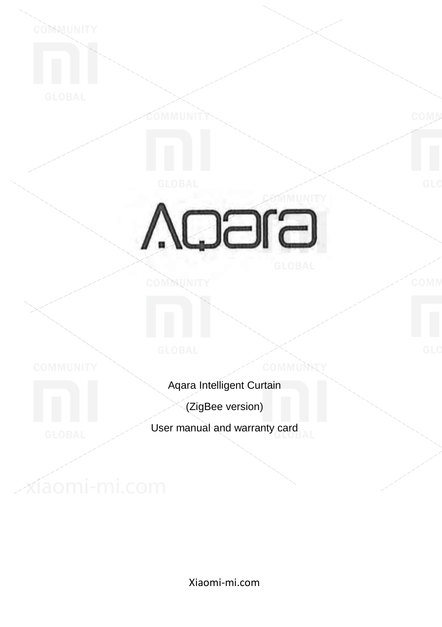COMMUNITY

# **Agara**

**COMMUNITY** 

COMN

Aqara Intelligent Curtain

**COMMUNIT** 

(ZigBee version)

User manual and warranty card

xíaomi-mi.com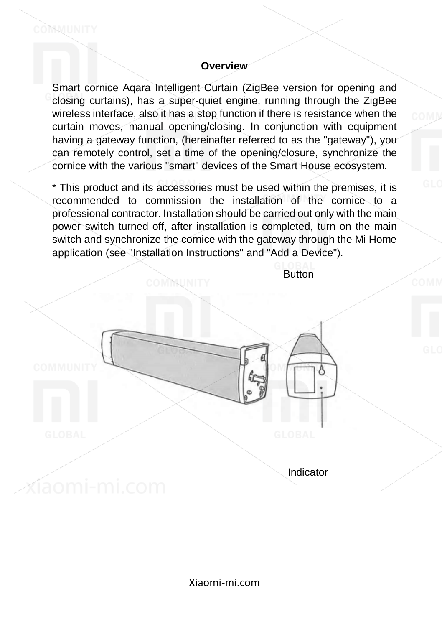#### **Overview**

COMMUNITY

Smart cornice Aqara Intelligent Curtain (ZigBee version for opening and closing curtains), has a super-quiet engine, running through the ZigBee wireless interface, also it has a stop function if there is resistance when the curtain moves, manual opening/closing. In conjunction with equipment having a gateway function, (hereinafter referred to as the "gateway"), you can remotely control, set a time of the opening/closure, synchronize the cornice with the various "smart" devices of the Smart House ecosystem.

\* This product and its accessories must be used within the premises, it is recommended to commission the installation of the cornice to a professional contractor. Installation should be carried out only with the main power switch turned off, after installation is completed, turn on the main switch and synchronize the cornice with the gateway through the Mi Home application (see "Installation Instructions" and "Add a Device").

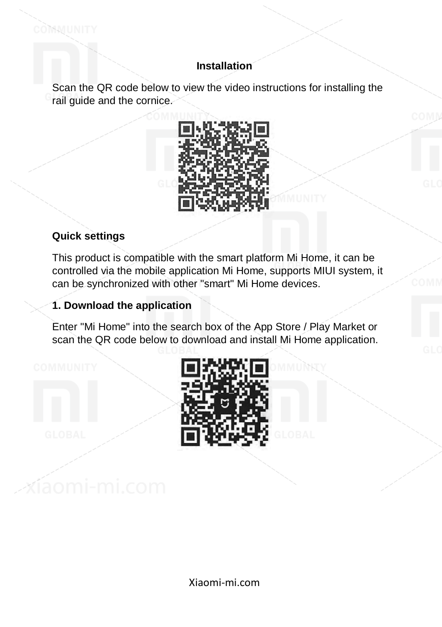# **Installation**

Scan the QR code below to view the video instructions for installing the rail guide and the cornice.



## **Quick settings**

COMMUNITY

This product is compatible with the smart platform Mi Home, it can be controlled via the mobile application Mi Home, supports MIUI system, it can be synchronized with other "smart" Mi Home devices.

## **1. Download the application**

Enter "Mi Home" into the search box of the App Store / Play Market or scan the QR code below to download and install Mi Home application.

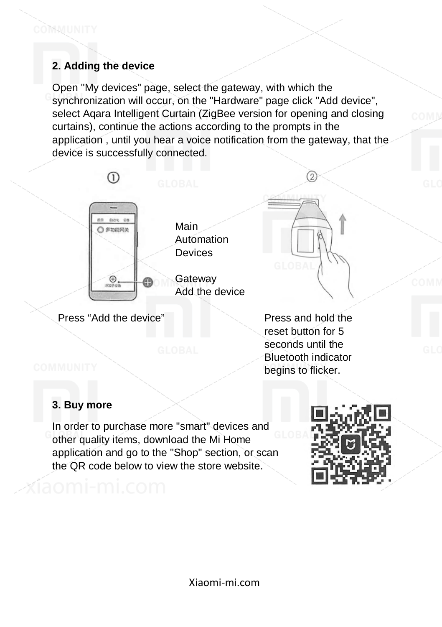# **2. Adding the device**

Open "My devices" page, select the gateway, with which the synchronization will occur, on the "Hardware" page click "Add device", select Aqara Intelligent Curtain (ZigBee version for opening and closing curtains), continue the actions according to the prompts in the application , until you hear a voice notification from the gateway, that the device is successfully connected.



Press "Add the device" Press and hold the

reset button for 5 seconds until the Bluetooth indicator begins to flicker.

2

## **3. Buy more**

In order to purchase more "smart" devices and other quality items, download the Mi Home application and go to the "Shop" section, or scan the QR code below to view the store website.

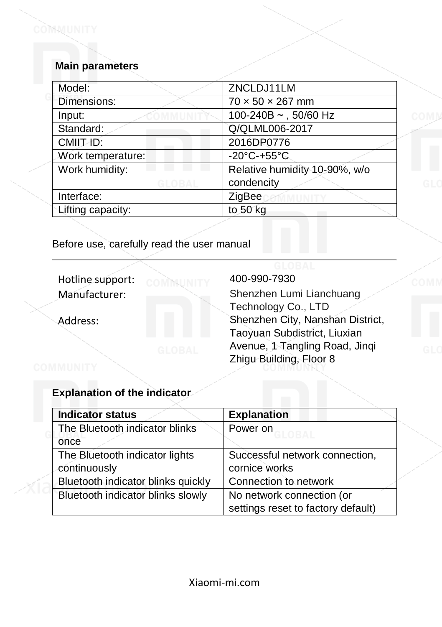#### **Main parameters**

COMMUNITY

| ZNCLDJ11LM                    |
|-------------------------------|
| $70 \times 50 \times 267$ mm  |
| 100-240B $\sim$ , 50/60 Hz    |
| Q/QLML006-2017                |
| 2016DP0776                    |
| -20°C-+55°C.                  |
| Relative humidity 10-90%, w/o |
| condencity                    |
| ZigBee                        |
| to 50 kg                      |
|                               |

Before use, carefully read the user manual

Hotline support: COMMUNITY 400-990-7930

Manufacturer: Shenzhen Lumi Lianchuang Technology Co., LTD Address: Shenzhen City, Nanshan District, Taoyuan Subdistrict, Liuxian Avenue, 1 Tangling Road, Jinqi Zhigu Building, Floor 8

#### **Explanation of the indicator**

| <b>Indicator status</b>            | <b>Explanation</b>                 |
|------------------------------------|------------------------------------|
| The Bluetooth indicator blinks     | Power on<br>GI OR <i>L</i>         |
| once                               |                                    |
| The Bluetooth indicator lights     | Successful network connection,     |
| continuously                       | cornice works                      |
| Bluetooth indicator blinks quickly | Connection to network              |
| Bluetooth indicator blinks slowly  | No network connection (or          |
|                                    | settings reset to factory default) |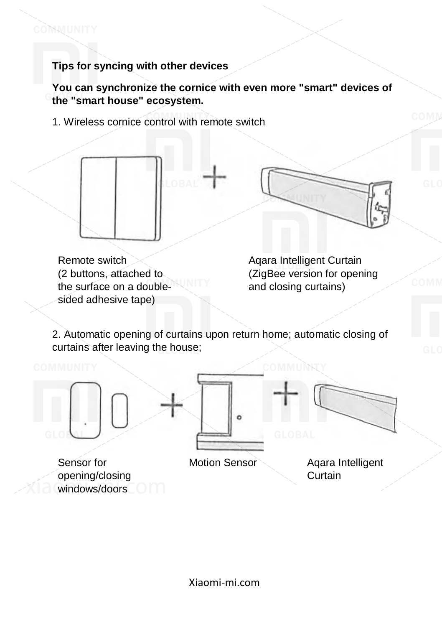COMMUNITY

**You can synchronize the cornice with even more "smart" devices of the "smart house" ecosystem.**

1. Wireless cornice control with remote switch



Remote switch (2 buttons, attached to the surface on a doublesided adhesive tape)

Aqara Intelligent Curtain (ZigBee version for opening and closing curtains)

2. Automatic opening of curtains upon return home; automatic closing of curtains after leaving the house;



Sensor for opening/closing windows/doors



Motion Sensor Aqara Intelligent

Curtain